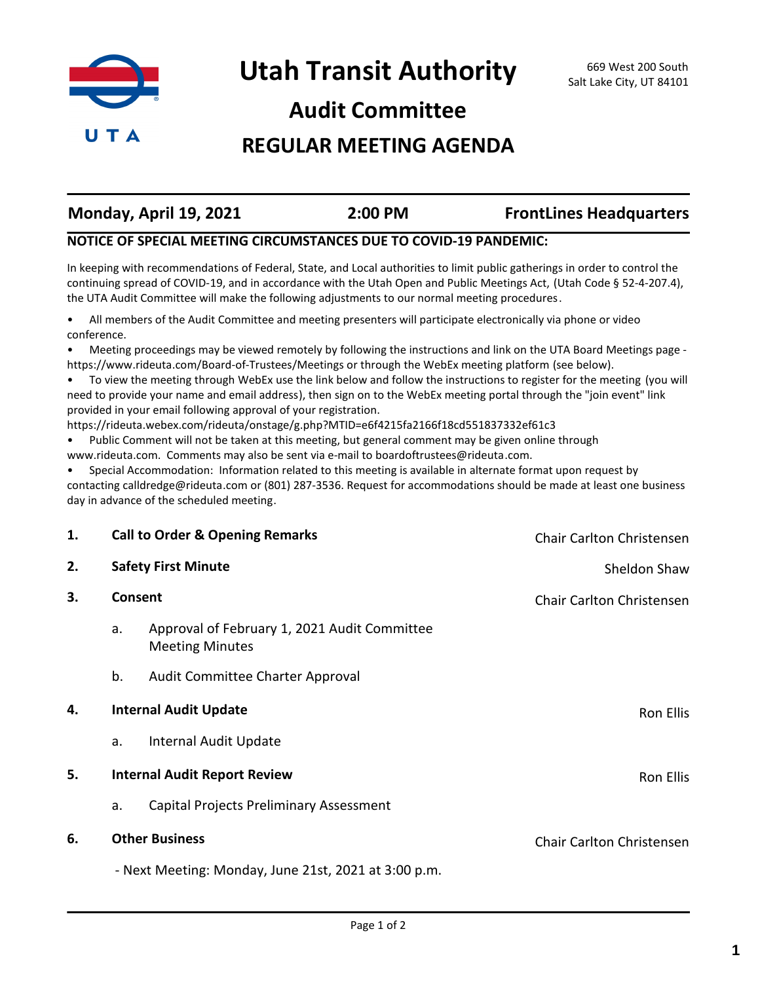

### **Audit Committee**

### **REGULAR MEETING AGENDA**

| Monday, April 19, 2021 | 2:00 PM | <b>FrontLines Headquarters</b> |
|------------------------|---------|--------------------------------|
|                        |         |                                |

#### **NOTICE OF SPECIAL MEETING CIRCUMSTANCES DUE TO COVID-19 PANDEMIC:**

In keeping with recommendations of Federal, State, and Local authorities to limit public gatherings in order to control the continuing spread of COVID-19, and in accordance with the Utah Open and Public Meetings Act, (Utah Code § 52-4-207.4), the UTA Audit Committee will make the following adjustments to our normal meeting procedures.

• All members of the Audit Committee and meeting presenters will participate electronically via phone or video conference.

• Meeting proceedings may be viewed remotely by following the instructions and link on the UTA Board Meetings page https://www.rideuta.com/Board-of-Trustees/Meetings or through the WebEx meeting platform (see below).

• To view the meeting through WebEx use the link below and follow the instructions to register for the meeting (you will need to provide your name and email address), then sign on to the WebEx meeting portal through the "join event" link provided in your email following approval of your registration.

https://rideuta.webex.com/rideuta/onstage/g.php?MTID=e6f4215fa2166f18cd551837332ef61c3

• Public Comment will not be taken at this meeting, but general comment may be given online through www.rideuta.com. Comments may also be sent via e-mail to boardoftrustees@rideuta.com.

• Special Accommodation: Information related to this meeting is available in alternate format upon request by contacting calldredge@rideuta.com or (801) 287-3536. Request for accommodations should be made at least one business day in advance of the scheduled meeting.

| 1. |         | <b>Call to Order &amp; Opening Remarks</b>                             | Chair Carlton Christensen |
|----|---------|------------------------------------------------------------------------|---------------------------|
| 2. |         | <b>Safety First Minute</b>                                             | Sheldon Shaw              |
| 3. | Consent |                                                                        | Chair Carlton Christensen |
|    | a.      | Approval of February 1, 2021 Audit Committee<br><b>Meeting Minutes</b> |                           |
|    | b.      | Audit Committee Charter Approval                                       |                           |
| 4. |         | <b>Internal Audit Update</b>                                           | Ron Ellis                 |
|    | a.      | Internal Audit Update                                                  |                           |
| 5. |         | <b>Internal Audit Report Review</b>                                    | Ron Ellis                 |
|    | a.      | Capital Projects Preliminary Assessment                                |                           |
| 6. |         | <b>Other Business</b>                                                  | Chair Carlton Christensen |
|    |         | - Next Meeting: Monday, June 21st, 2021 at 3:00 p.m.                   |                           |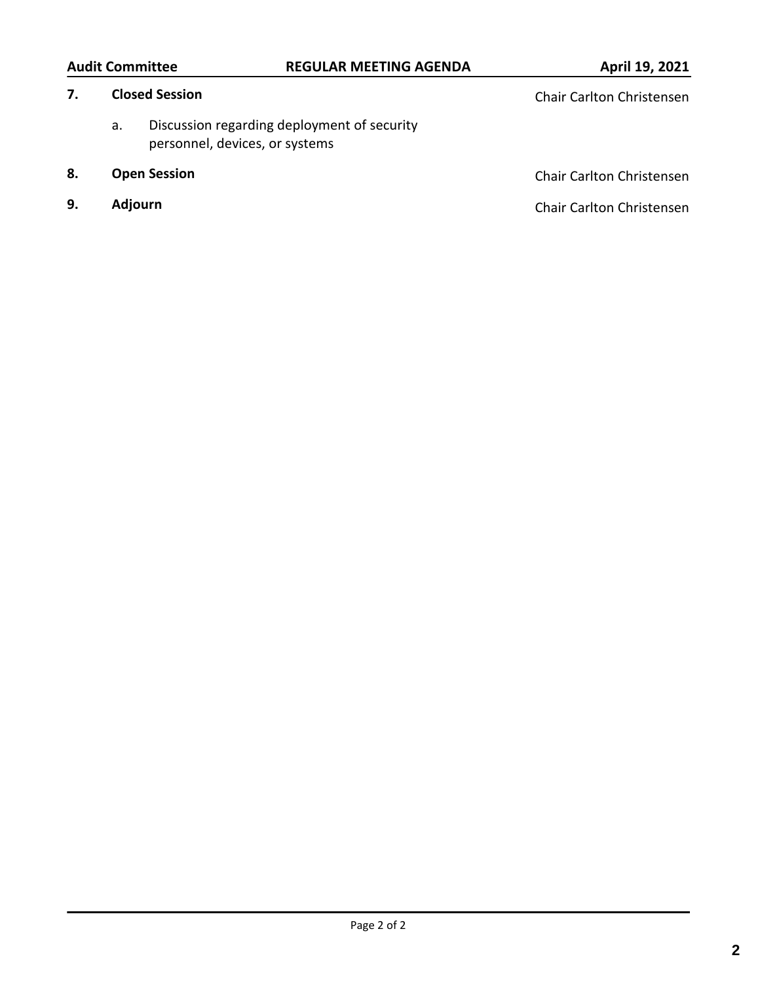### Audit Committee **REGULAR MEETING AGENDA April 19, 2021**

- a. [Discussion regarding deployment of security](http://rideuta.legistar.com/gateway.aspx?m=l&id=/matter.aspx?key=1568)  personnel, devices, or systems
- 
- 

**7. Closed Session Chair Carlton Christensen Chair Carlton Christensen** 

**8. Open Session Chair Carlton Christensen Chair Carlton Christensen** 

**9. Adjourn Chair Carlton Christensen Chair Carlton Christensen**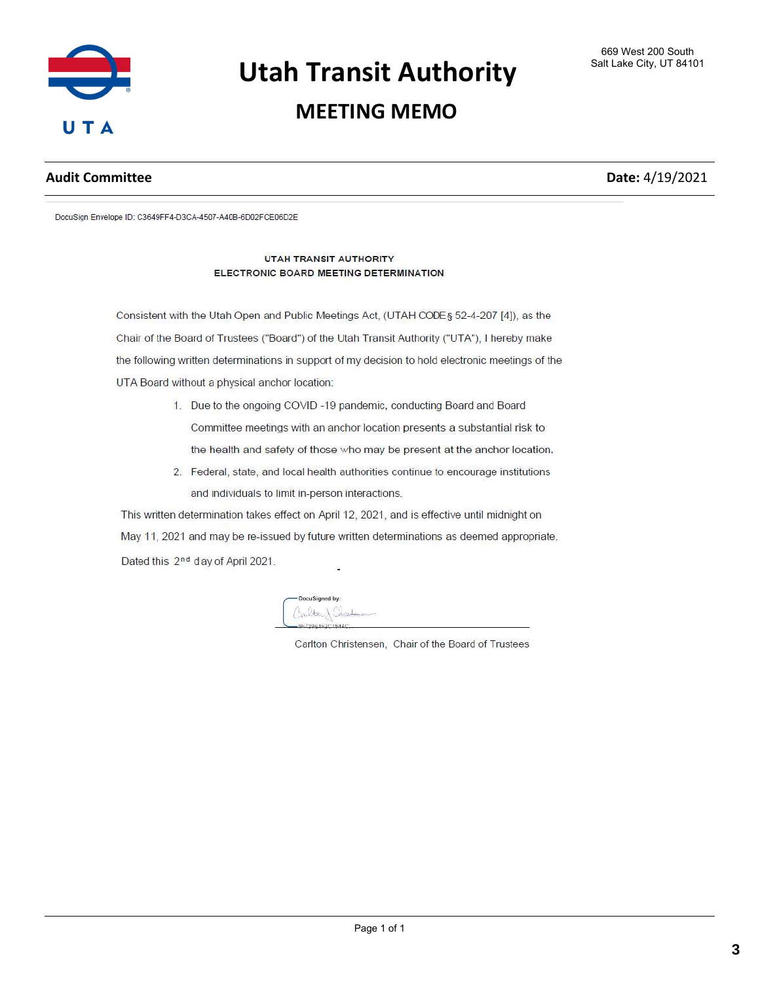

### **MEETING MEMO**

#### **Audit Committee Date:** 4/19/2021

DocuSign Envelope ID: C3649FF4-D3CA-4507-A40B-6D02FCE06D2E

#### UTAH TRANSIT AUTHORITY ELECTRONIC BOARD MEETING DETERMINATION

Consistent with the Utah Open and Public Meetings Act, (UTAH CODEs 52-4-207 [4]), as the Chair of the Board of Trustees ("Board") of the Utah Transit Authority ("UTA"), I hereby make the following written determinations in support of my decision to hold electronic meetings of the UTA Board without a physical anchor location:

- 1. Due to the ongoing COVID-19 pandemic, conducting Board and Board Committee meetings with an anchor location presents a substantial risk to the health and safety of those who may be present at the anchor location.
- 2. Federal, state, and local health authorities continue to encourage institutions and individuals to limit in-person interactions.

This written determination takes effect on April 12, 2021, and is effective until midnight on May 11, 2021 and may be re-issued by future written determinations as deemed appropriate. Dated this 2<sup>nd</sup> day of April 2021.



Carlton Christensen, Chair of the Board of Trustees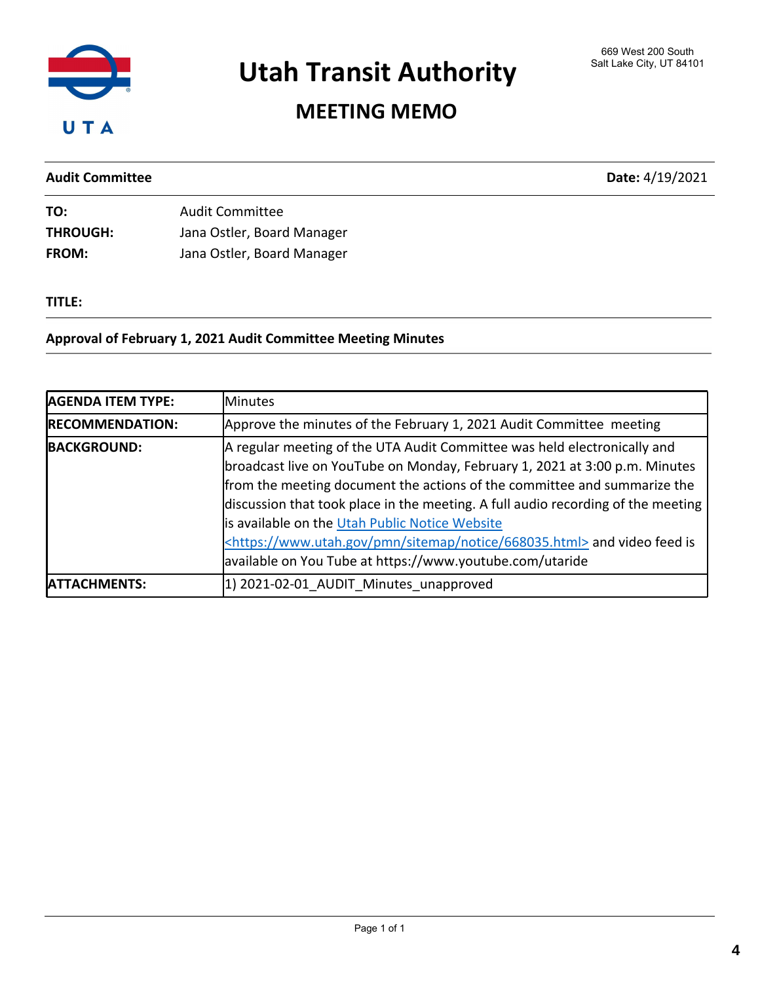

## MEETING MEMO

Audit Committee Date: 4/19/2021

| TO:             | <b>Audit Committee</b>     |
|-----------------|----------------------------|
| <b>THROUGH:</b> | Jana Ostler, Board Manager |
| <b>FROM:</b>    | Jana Ostler, Board Manager |

#### TITLE:

#### Approval of February 1, 2021 Audit Committee Meeting Minutes

| <b>AGENDA ITEM TYPE:</b> | <b>Minutes</b>                                                                                                                                                                                                                                                                                                                                                                                                                                                                                                                          |
|--------------------------|-----------------------------------------------------------------------------------------------------------------------------------------------------------------------------------------------------------------------------------------------------------------------------------------------------------------------------------------------------------------------------------------------------------------------------------------------------------------------------------------------------------------------------------------|
| <b>RECOMMENDATION:</b>   | Approve the minutes of the February 1, 2021 Audit Committee meeting                                                                                                                                                                                                                                                                                                                                                                                                                                                                     |
| <b>BACKGROUND:</b>       | A regular meeting of the UTA Audit Committee was held electronically and<br>broadcast live on YouTube on Monday, February 1, 2021 at 3:00 p.m. Minutes<br>from the meeting document the actions of the committee and summarize the<br>discussion that took place in the meeting. A full audio recording of the meeting<br>is available on the Utah Public Notice Website<br><https: 668035.html="" notice="" pmn="" sitemap="" www.utah.gov=""> and video feed is<br/>available on You Tube at https://www.youtube.com/utaride</https:> |
| <b>IATTACHMENTS:</b>     | 1) 2021-02-01 AUDIT Minutes unapproved                                                                                                                                                                                                                                                                                                                                                                                                                                                                                                  |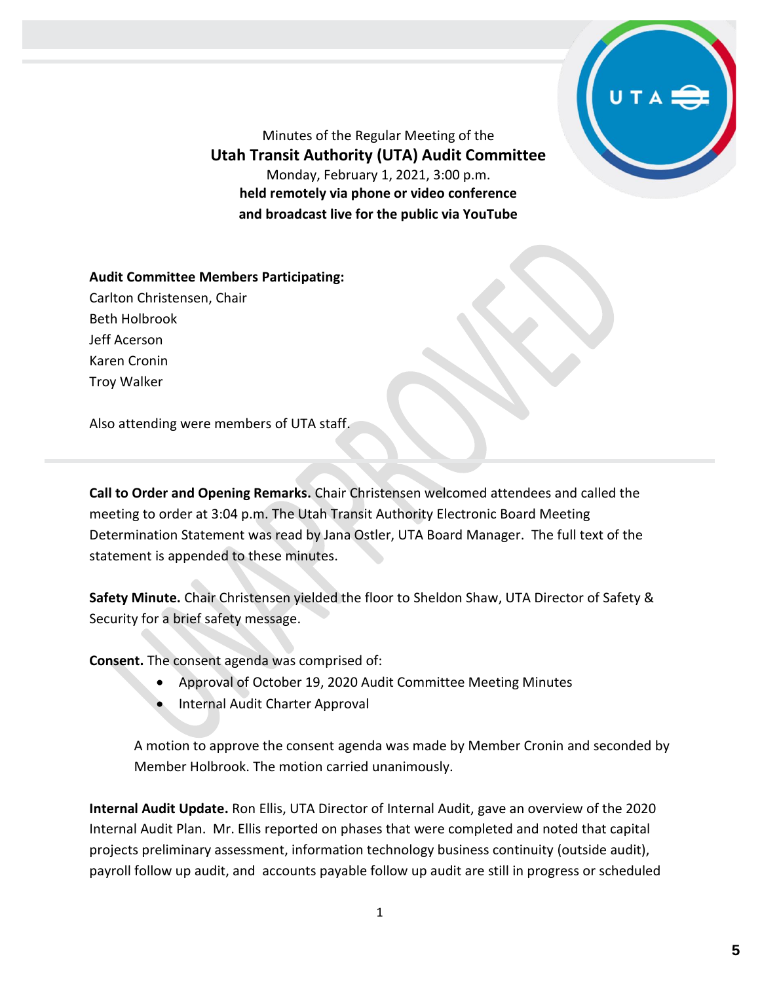

Minutes of the Regular Meeting of the **Utah Transit Authority (UTA) Audit Committee** Monday, February 1, 2021, 3:00 p.m. **held remotely via phone or video conference and broadcast live for the public via YouTube**

**Audit Committee Members Participating:**

Carlton Christensen, Chair Beth Holbrook Jeff Acerson Karen Cronin Troy Walker

Also attending were members of UTA staff.

**Call to Order and Opening Remarks.** Chair Christensen welcomed attendees and called the meeting to order at 3:04 p.m. The Utah Transit Authority Electronic Board Meeting Determination Statement was read by Jana Ostler, UTA Board Manager. The full text of the statement is appended to these minutes.

**Safety Minute.** Chair Christensen yielded the floor to Sheldon Shaw, UTA Director of Safety & Security for a brief safety message.

**Consent.** The consent agenda was comprised of:

- Approval of October 19, 2020 Audit Committee Meeting Minutes
- Internal Audit Charter Approval

A motion to approve the consent agenda was made by Member Cronin and seconded by Member Holbrook. The motion carried unanimously.

**Internal Audit Update.** Ron Ellis, UTA Director of Internal Audit, gave an overview of the 2020 Internal Audit Plan. Mr. Ellis reported on phases that were completed and noted that capital projects preliminary assessment, information technology business continuity (outside audit), payroll follow up audit, and accounts payable follow up audit are still in progress or scheduled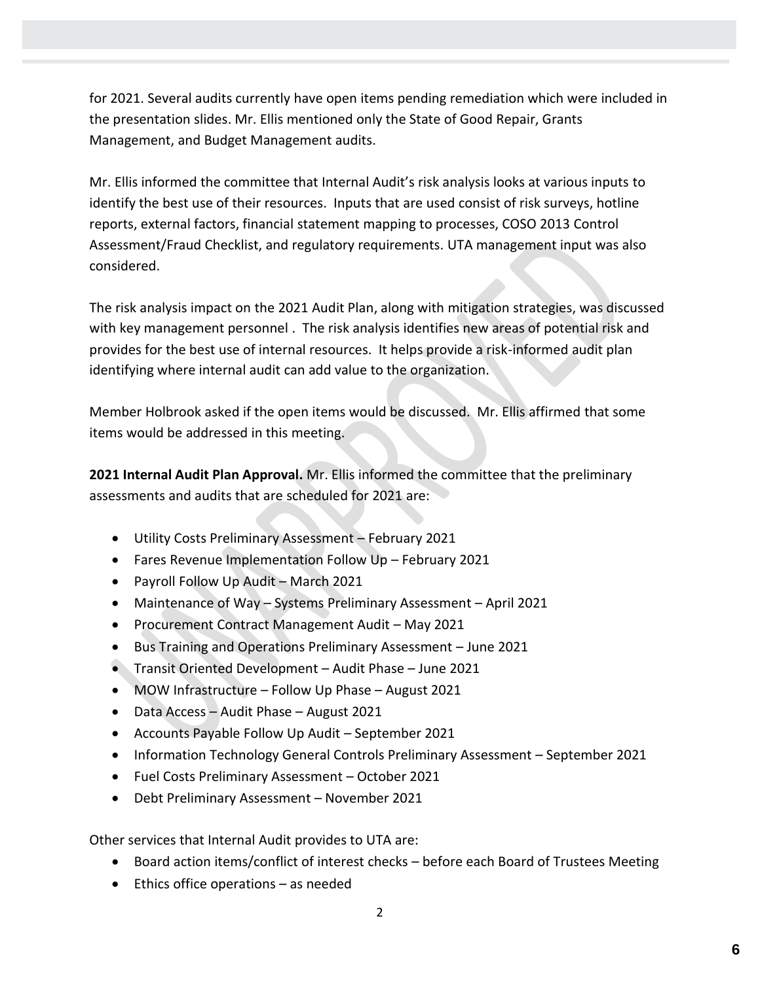for 2021. Several audits currently have open items pending remediation which were included in the presentation slides. Mr. Ellis mentioned only the State of Good Repair, Grants Management, and Budget Management audits.

Mr. Ellis informed the committee that Internal Audit's risk analysis looks at various inputs to identify the best use of their resources. Inputs that are used consist of risk surveys, hotline reports, external factors, financial statement mapping to processes, COSO 2013 Control Assessment/Fraud Checklist, and regulatory requirements. UTA management input was also considered.

The risk analysis impact on the 2021 Audit Plan, along with mitigation strategies, was discussed with key management personnel . The risk analysis identifies new areas of potential risk and provides for the best use of internal resources. It helps provide a risk-informed audit plan identifying where internal audit can add value to the organization.

Member Holbrook asked if the open items would be discussed. Mr. Ellis affirmed that some items would be addressed in this meeting.

**2021 Internal Audit Plan Approval.** Mr. Ellis informed the committee that the preliminary assessments and audits that are scheduled for 2021 are:

- Utility Costs Preliminary Assessment February 2021
- Fares Revenue Implementation Follow Up February 2021
- Payroll Follow Up Audit March 2021
- Maintenance of Way Systems Preliminary Assessment April 2021
- Procurement Contract Management Audit May 2021
- Bus Training and Operations Preliminary Assessment June 2021
- Transit Oriented Development Audit Phase June 2021
- MOW Infrastructure Follow Up Phase August 2021
- Data Access Audit Phase August 2021
- Accounts Payable Follow Up Audit September 2021
- Information Technology General Controls Preliminary Assessment September 2021
- Fuel Costs Preliminary Assessment October 2021
- Debt Preliminary Assessment November 2021

Other services that Internal Audit provides to UTA are:

- Board action items/conflict of interest checks before each Board of Trustees Meeting
- Ethics office operations as needed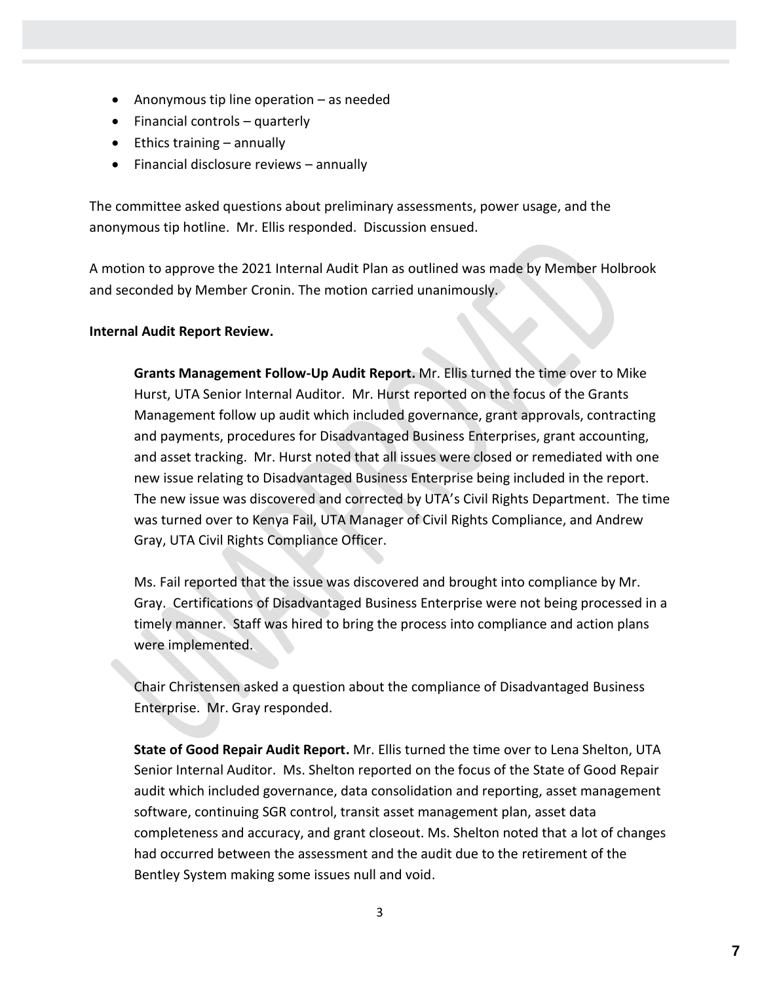- Anonymous tip line operation as needed
- Financial controls quarterly
- Ethics training annually
- Financial disclosure reviews annually

The committee asked questions about preliminary assessments, power usage, and the anonymous tip hotline. Mr. Ellis responded. Discussion ensued.

A motion to approve the 2021 Internal Audit Plan as outlined was made by Member Holbrook and seconded by Member Cronin. The motion carried unanimously.

#### **Internal Audit Report Review.**

**Grants Management Follow-Up Audit Report.** Mr. Ellis turned the time over to Mike Hurst, UTA Senior Internal Auditor. Mr. Hurst reported on the focus of the Grants Management follow up audit which included governance, grant approvals, contracting and payments, procedures for Disadvantaged Business Enterprises, grant accounting, and asset tracking. Mr. Hurst noted that all issues were closed or remediated with one new issue relating to Disadvantaged Business Enterprise being included in the report. The new issue was discovered and corrected by UTA's Civil Rights Department. The time was turned over to Kenya Fail, UTA Manager of Civil Rights Compliance, and Andrew Gray, UTA Civil Rights Compliance Officer.

Ms. Fail reported that the issue was discovered and brought into compliance by Mr. Gray. Certifications of Disadvantaged Business Enterprise were not being processed in a timely manner. Staff was hired to bring the process into compliance and action plans were implemented.

Chair Christensen asked a question about the compliance of Disadvantaged Business Enterprise. Mr. Gray responded.

**State of Good Repair Audit Report.** Mr. Ellis turned the time over to Lena Shelton, UTA Senior Internal Auditor. Ms. Shelton reported on the focus of the State of Good Repair audit which included governance, data consolidation and reporting, asset management software, continuing SGR control, transit asset management plan, asset data completeness and accuracy, and grant closeout. Ms. Shelton noted that a lot of changes had occurred between the assessment and the audit due to the retirement of the Bentley System making some issues null and void.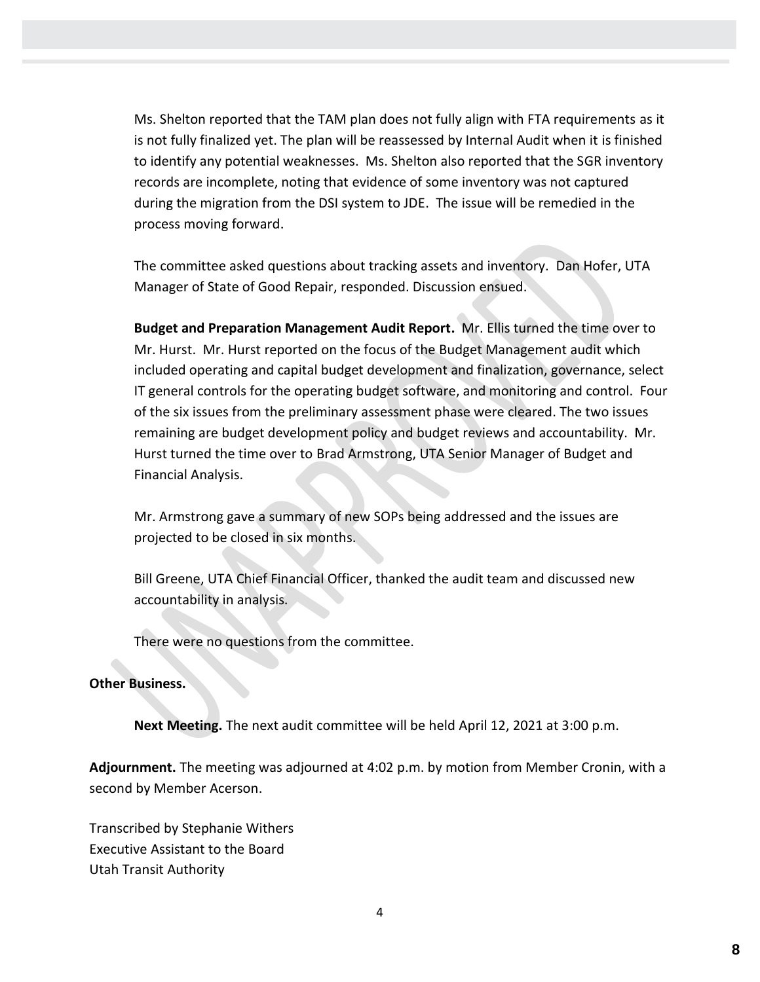Ms. Shelton reported that the TAM plan does not fully align with FTA requirements as it is not fully finalized yet. The plan will be reassessed by Internal Audit when it is finished to identify any potential weaknesses. Ms. Shelton also reported that the SGR inventory records are incomplete, noting that evidence of some inventory was not captured during the migration from the DSI system to JDE. The issue will be remedied in the process moving forward.

The committee asked questions about tracking assets and inventory. Dan Hofer, UTA Manager of State of Good Repair, responded. Discussion ensued.

**Budget and Preparation Management Audit Report.** Mr. Ellis turned the time over to Mr. Hurst. Mr. Hurst reported on the focus of the Budget Management audit which included operating and capital budget development and finalization, governance, select IT general controls for the operating budget software, and monitoring and control. Four of the six issues from the preliminary assessment phase were cleared. The two issues remaining are budget development policy and budget reviews and accountability. Mr. Hurst turned the time over to Brad Armstrong, UTA Senior Manager of Budget and Financial Analysis.

Mr. Armstrong gave a summary of new SOPs being addressed and the issues are projected to be closed in six months.

Bill Greene, UTA Chief Financial Officer, thanked the audit team and discussed new accountability in analysis.

There were no questions from the committee.

#### **Other Business.**

**Next Meeting.** The next audit committee will be held April 12, 2021 at 3:00 p.m.

**Adjournment.** The meeting was adjourned at 4:02 p.m. by motion from Member Cronin, with a second by Member Acerson.

Transcribed by Stephanie Withers Executive Assistant to the Board Utah Transit Authority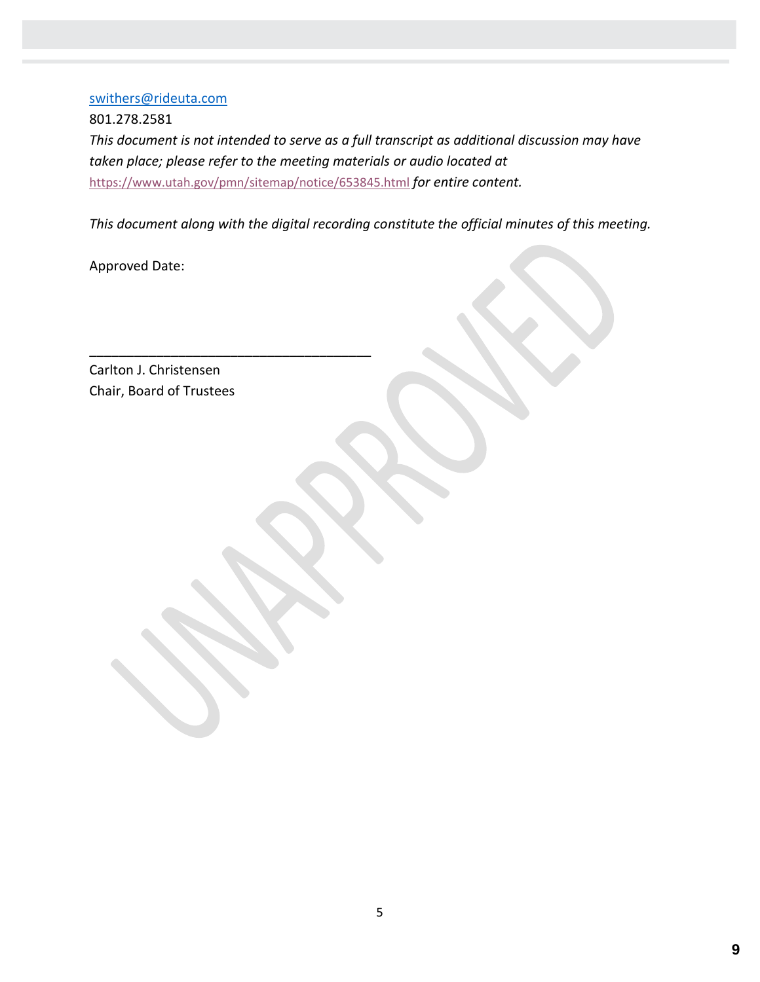#### [swithers@rideuta.com](mailto:swithers@rideuta.com)

801.278.2581 *This document is not intended to serve as a full transcript as additional discussion may have taken place; please refer to the meeting materials or audio located at* <https://www.utah.gov/pmn/sitemap/notice/653845.html> *for entire content.*

*This document along with the digital recording constitute the official minutes of this meeting.*

Approved Date:

Carlton J. Christensen Chair, Board of Trustees

\_\_\_\_\_\_\_\_\_\_\_\_\_\_\_\_\_\_\_\_\_\_\_\_\_\_\_\_\_\_\_\_\_\_\_\_\_\_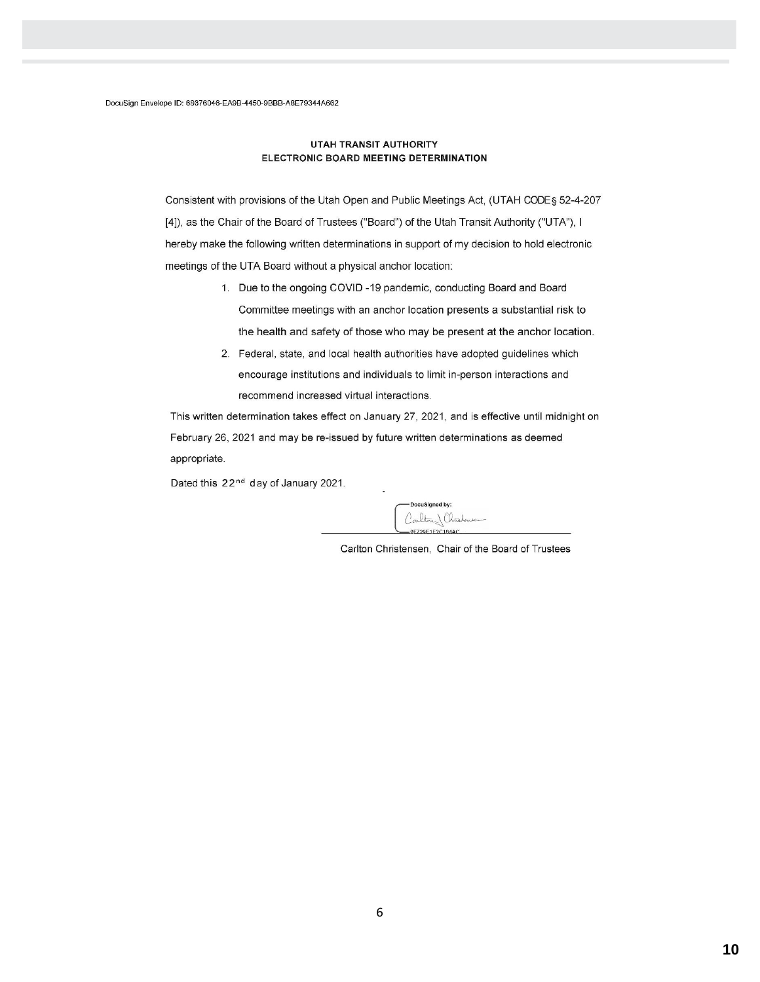#### **UTAH TRANSIT AUTHORITY** ELECTRONIC BOARD MEETING DETERMINATION

Consistent with provisions of the Utah Open and Public Meetings Act, (UTAH CODE§ 52-4-207 [4]), as the Chair of the Board of Trustees ("Board") of the Utah Transit Authority ("UTA"), I hereby make the following written determinations in support of my decision to hold electronic meetings of the UTA Board without a physical anchor location:

- 1. Due to the ongoing COVID-19 pandemic, conducting Board and Board Committee meetings with an anchor location presents a substantial risk to the health and safety of those who may be present at the anchor location.
- 2. Federal, state, and local health authorities have adopted guidelines which encourage institutions and individuals to limit in-person interactions and recommend increased virtual interactions.

This written determination takes effect on January 27, 2021, and is effective until midnight on February 26, 2021 and may be re-issued by future written determinations as deemed appropriate.

Dated this 22<sup>nd</sup> day of January 2021.

DocuSigned by: Carlton Charlomen

Carlton Christensen, Chair of the Board of Trustees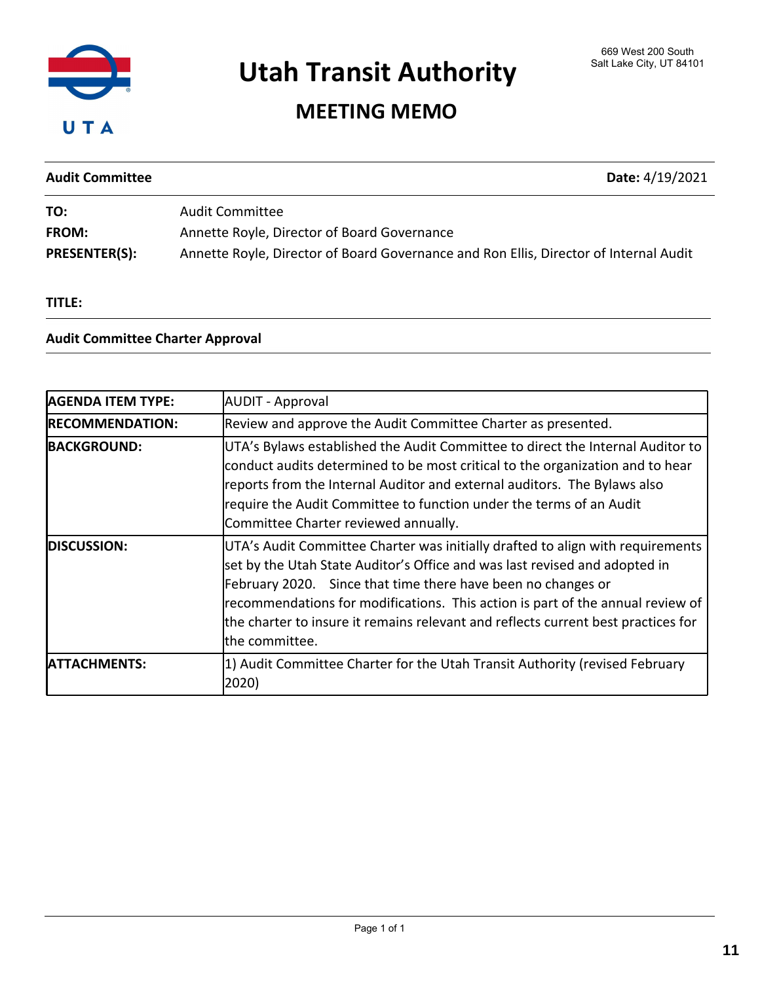

## MEETING MEMO

| <b>Audit Committee</b> | Date: 4/19/2021                                                                       |
|------------------------|---------------------------------------------------------------------------------------|
| TO:                    | <b>Audit Committee</b>                                                                |
| FROM:                  | Annette Royle, Director of Board Governance                                           |
| <b>PRESENTER(S):</b>   | Annette Royle, Director of Board Governance and Ron Ellis, Director of Internal Audit |

TITLE:

#### Audit Committee Charter Approval

| <b>AGENDA ITEM TYPE:</b> | <b>AUDIT</b> - Approval                                                                                                                                                                                                                                                                                                                                                                                               |
|--------------------------|-----------------------------------------------------------------------------------------------------------------------------------------------------------------------------------------------------------------------------------------------------------------------------------------------------------------------------------------------------------------------------------------------------------------------|
| <b>RECOMMENDATION:</b>   | Review and approve the Audit Committee Charter as presented.                                                                                                                                                                                                                                                                                                                                                          |
| <b>BACKGROUND:</b>       | UTA's Bylaws established the Audit Committee to direct the Internal Auditor to<br>conduct audits determined to be most critical to the organization and to hear<br>reports from the Internal Auditor and external auditors. The Bylaws also<br>require the Audit Committee to function under the terms of an Audit<br>Committee Charter reviewed annually.                                                            |
| <b>DISCUSSION:</b>       | UTA's Audit Committee Charter was initially drafted to align with requirements<br>set by the Utah State Auditor's Office and was last revised and adopted in<br>February 2020. Since that time there have been no changes or<br>recommendations for modifications. This action is part of the annual review of<br>the charter to insure it remains relevant and reflects current best practices for<br>the committee. |
| <b>ATTACHMENTS:</b>      | 1) Audit Committee Charter for the Utah Transit Authority (revised February<br>2020)                                                                                                                                                                                                                                                                                                                                  |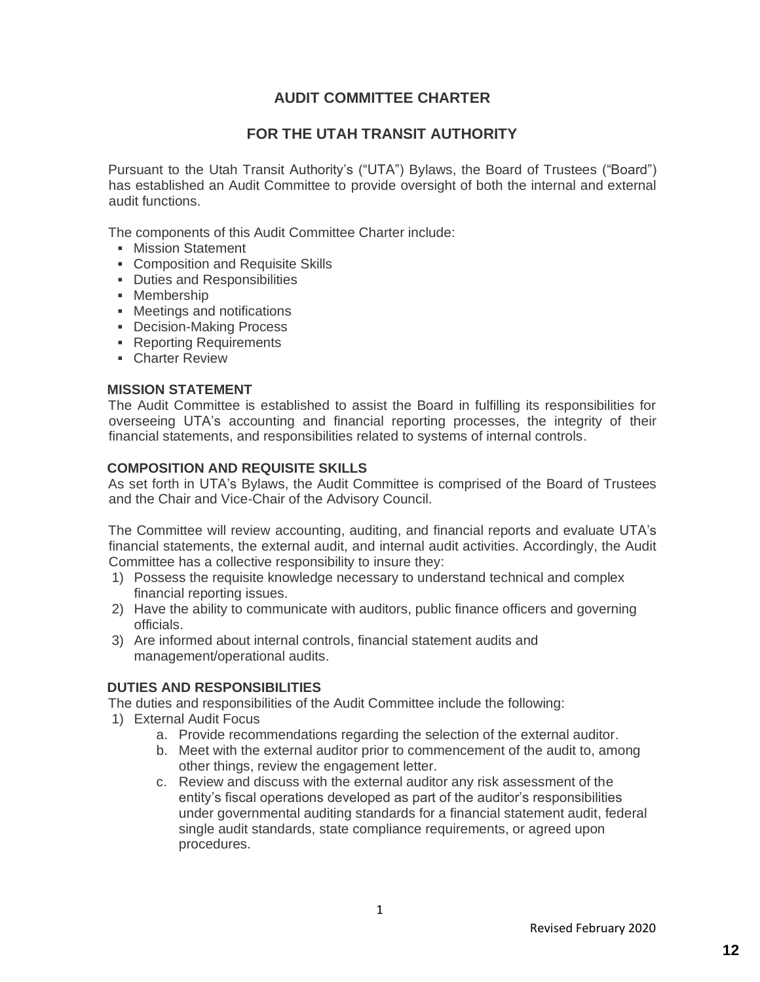### **AUDIT COMMITTEE CHARTER**

#### **FOR THE UTAH TRANSIT AUTHORITY**

Pursuant to the Utah Transit Authority's ("UTA") Bylaws, the Board of Trustees ("Board") has established an Audit Committee to provide oversight of both the internal and external audit functions.

The components of this Audit Committee Charter include:

- **E** Mission Statement
- Composition and Requisite Skills
- Duties and Responsibilities
- **•** Membership
- Meetings and notifications
- Decision-Making Process
- Reporting Requirements
- Charter Review

#### **MISSION STATEMENT**

The Audit Committee is established to assist the Board in fulfilling its responsibilities for overseeing UTA's accounting and financial reporting processes, the integrity of their financial statements, and responsibilities related to systems of internal controls.

#### **COMPOSITION AND REQUISITE SKILLS**

As set forth in UTA's Bylaws, the Audit Committee is comprised of the Board of Trustees and the Chair and Vice-Chair of the Advisory Council.

The Committee will review accounting, auditing, and financial reports and evaluate UTA's financial statements, the external audit, and internal audit activities. Accordingly, the Audit Committee has a collective responsibility to insure they:

- 1) Possess the requisite knowledge necessary to understand technical and complex financial reporting issues.
- 2) Have the ability to communicate with auditors, public finance officers and governing officials.
- 3) Are informed about internal controls, financial statement audits and management/operational audits.

#### **DUTIES AND RESPONSIBILITIES**

The duties and responsibilities of the Audit Committee include the following:

- 1) External Audit Focus
	- a. Provide recommendations regarding the selection of the external auditor.
	- b. Meet with the external auditor prior to commencement of the audit to, among other things, review the engagement letter.
	- c. Review and discuss with the external auditor any risk assessment of the entity's fiscal operations developed as part of the auditor's responsibilities under governmental auditing standards for a financial statement audit, federal single audit standards, state compliance requirements, or agreed upon procedures.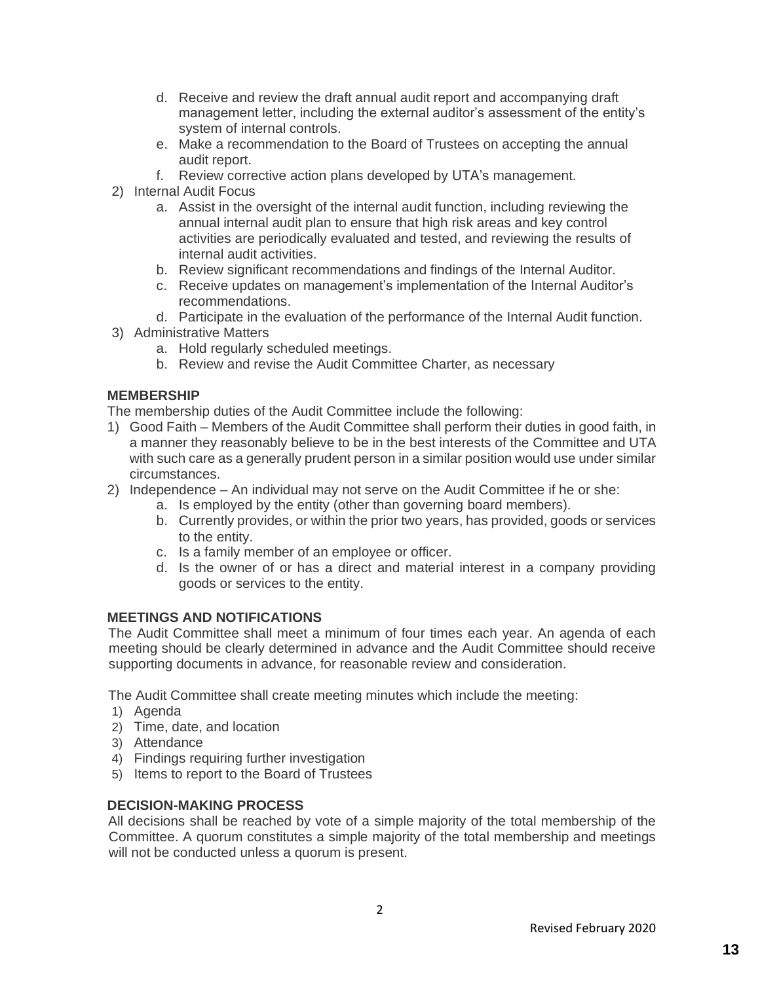- d. Receive and review the draft annual audit report and accompanying draft management letter, including the external auditor's assessment of the entity's system of internal controls.
- e. Make a recommendation to the Board of Trustees on accepting the annual audit report.
- f. Review corrective action plans developed by UTA's management.
- 2) Internal Audit Focus
	- a. Assist in the oversight of the internal audit function, including reviewing the annual internal audit plan to ensure that high risk areas and key control activities are periodically evaluated and tested, and reviewing the results of internal audit activities.
	- b. Review significant recommendations and findings of the Internal Auditor.
	- c. Receive updates on management's implementation of the Internal Auditor's recommendations.
	- d. Participate in the evaluation of the performance of the Internal Audit function.
- 3) Administrative Matters
	- a. Hold regularly scheduled meetings.
	- b. Review and revise the Audit Committee Charter, as necessary

#### **MEMBERSHIP**

The membership duties of the Audit Committee include the following:

- 1) Good Faith Members of the Audit Committee shall perform their duties in good faith, in a manner they reasonably believe to be in the best interests of the Committee and UTA with such care as a generally prudent person in a similar position would use under similar circumstances.
- 2) Independence An individual may not serve on the Audit Committee if he or she:
	- a. Is employed by the entity (other than governing board members).
	- b. Currently provides, or within the prior two years, has provided, goods or services to the entity.
	- c. Is a family member of an employee or officer.
	- d. Is the owner of or has a direct and material interest in a company providing goods or services to the entity.

#### **MEETINGS AND NOTIFICATIONS**

The Audit Committee shall meet a minimum of four times each year. An agenda of each meeting should be clearly determined in advance and the Audit Committee should receive supporting documents in advance, for reasonable review and consideration.

The Audit Committee shall create meeting minutes which include the meeting:

- 1) Agenda
- 2) Time, date, and location
- 3) Attendance
- 4) Findings requiring further investigation
- 5) Items to report to the Board of Trustees

#### **DECISION-MAKING PROCESS**

All decisions shall be reached by vote of a simple majority of the total membership of the Committee. A quorum constitutes a simple majority of the total membership and meetings will not be conducted unless a quorum is present.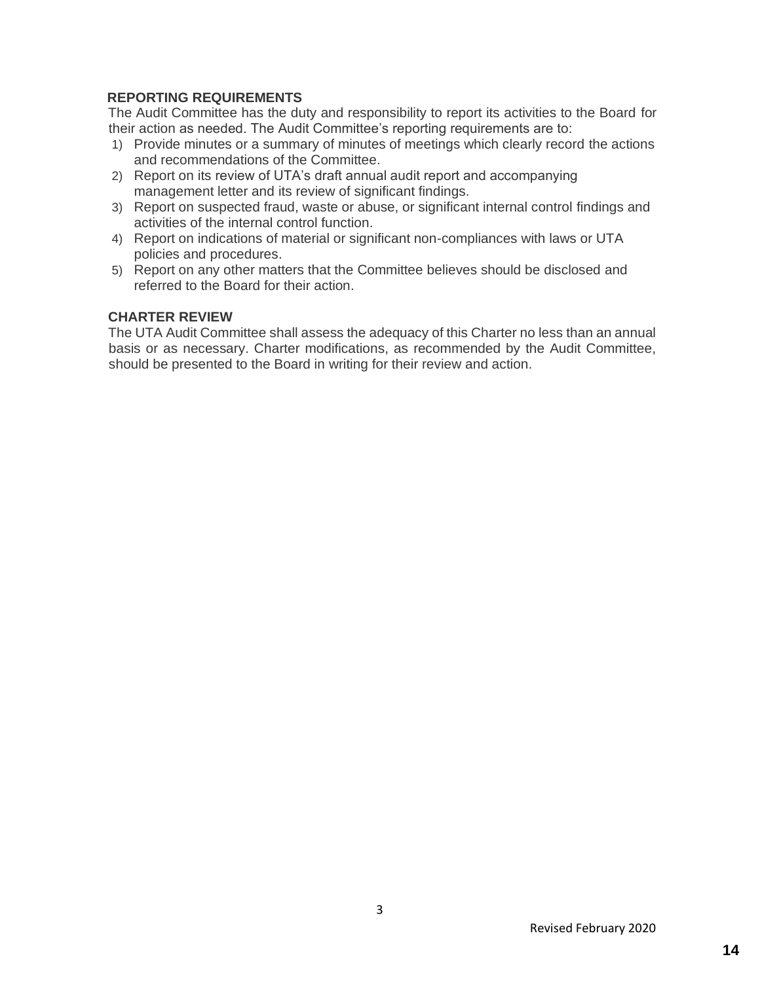#### **REPORTING REQUIREMENTS**

The Audit Committee has the duty and responsibility to report its activities to the Board for their action as needed. The Audit Committee's reporting requirements are to:

- 1) Provide minutes or a summary of minutes of meetings which clearly record the actions and recommendations of the Committee.
- 2) Report on its review of UTA's draft annual audit report and accompanying management letter and its review of significant findings.
- 3) Report on suspected fraud, waste or abuse, or significant internal control findings and activities of the internal control function.
- 4) Report on indications of material or significant non-compliances with laws or UTA policies and procedures.
- 5) Report on any other matters that the Committee believes should be disclosed and referred to the Board for their action.

#### **CHARTER REVIEW**

The UTA Audit Committee shall assess the adequacy of this Charter no less than an annual basis or as necessary. Charter modifications, as recommended by the Audit Committee, should be presented to the Board in writing for their review and action.

3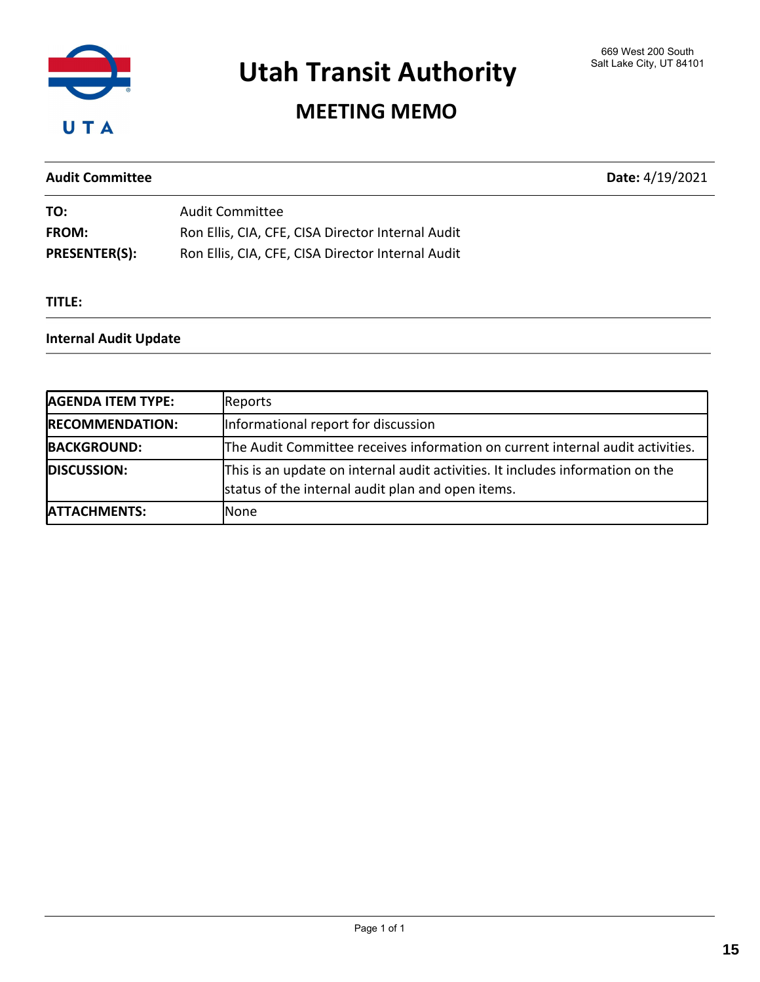

## MEETING MEMO

#### Audit Committee Date: 4/19/2021

| TO:                  | <b>Audit Committee</b>                            |
|----------------------|---------------------------------------------------|
| <b>FROM:</b>         | Ron Ellis, CIA, CFE, CISA Director Internal Audit |
| <b>PRESENTER(S):</b> | Ron Ellis, CIA, CFE, CISA Director Internal Audit |

#### TITLE:

#### Internal Audit Update

| <b>AGENDA ITEM TYPE:</b> | Reports                                                                                                                             |
|--------------------------|-------------------------------------------------------------------------------------------------------------------------------------|
| <b>RECOMMENDATION:</b>   | Informational report for discussion                                                                                                 |
| <b>BACKGROUND:</b>       | The Audit Committee receives information on current internal audit activities.                                                      |
| <b>DISCUSSION:</b>       | This is an update on internal audit activities. It includes information on the<br>status of the internal audit plan and open items. |
| <b>ATTACHMENTS:</b>      | None                                                                                                                                |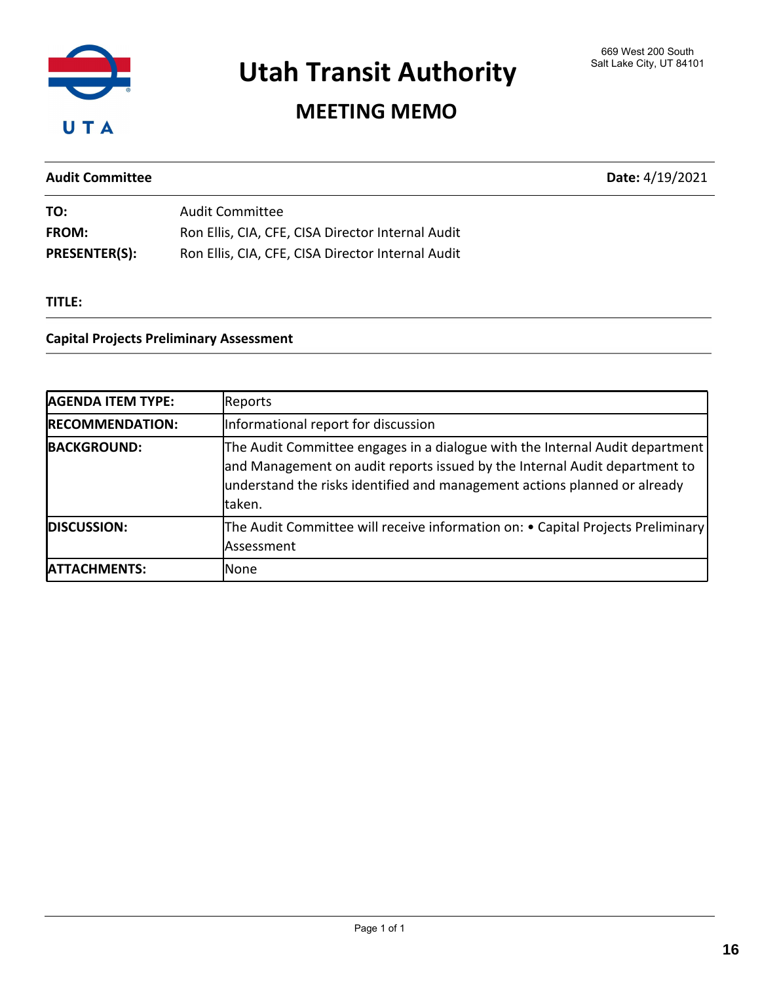

## MEETING MEMO

### Audit Committee Date: 4/19/2021

| TO:                  | Audit Committee                                   |
|----------------------|---------------------------------------------------|
| <b>FROM:</b>         | Ron Ellis, CIA, CFE, CISA Director Internal Audit |
| <b>PRESENTER(S):</b> | Ron Ellis, CIA, CFE, CISA Director Internal Audit |

#### TITLE:

#### Capital Projects Preliminary Assessment

| <b>AGENDA ITEM TYPE:</b> | Reports                                                                                                                                                                                                                                           |
|--------------------------|---------------------------------------------------------------------------------------------------------------------------------------------------------------------------------------------------------------------------------------------------|
| <b>RECOMMENDATION:</b>   | Informational report for discussion                                                                                                                                                                                                               |
| <b>BACKGROUND:</b>       | The Audit Committee engages in a dialogue with the Internal Audit department<br>and Management on audit reports issued by the Internal Audit department to<br>understand the risks identified and management actions planned or already<br>taken. |
| <b>DISCUSSION:</b>       | The Audit Committee will receive information on: • Capital Projects Preliminary<br>Assessment                                                                                                                                                     |
| <b>ATTACHMENTS:</b>      | None                                                                                                                                                                                                                                              |